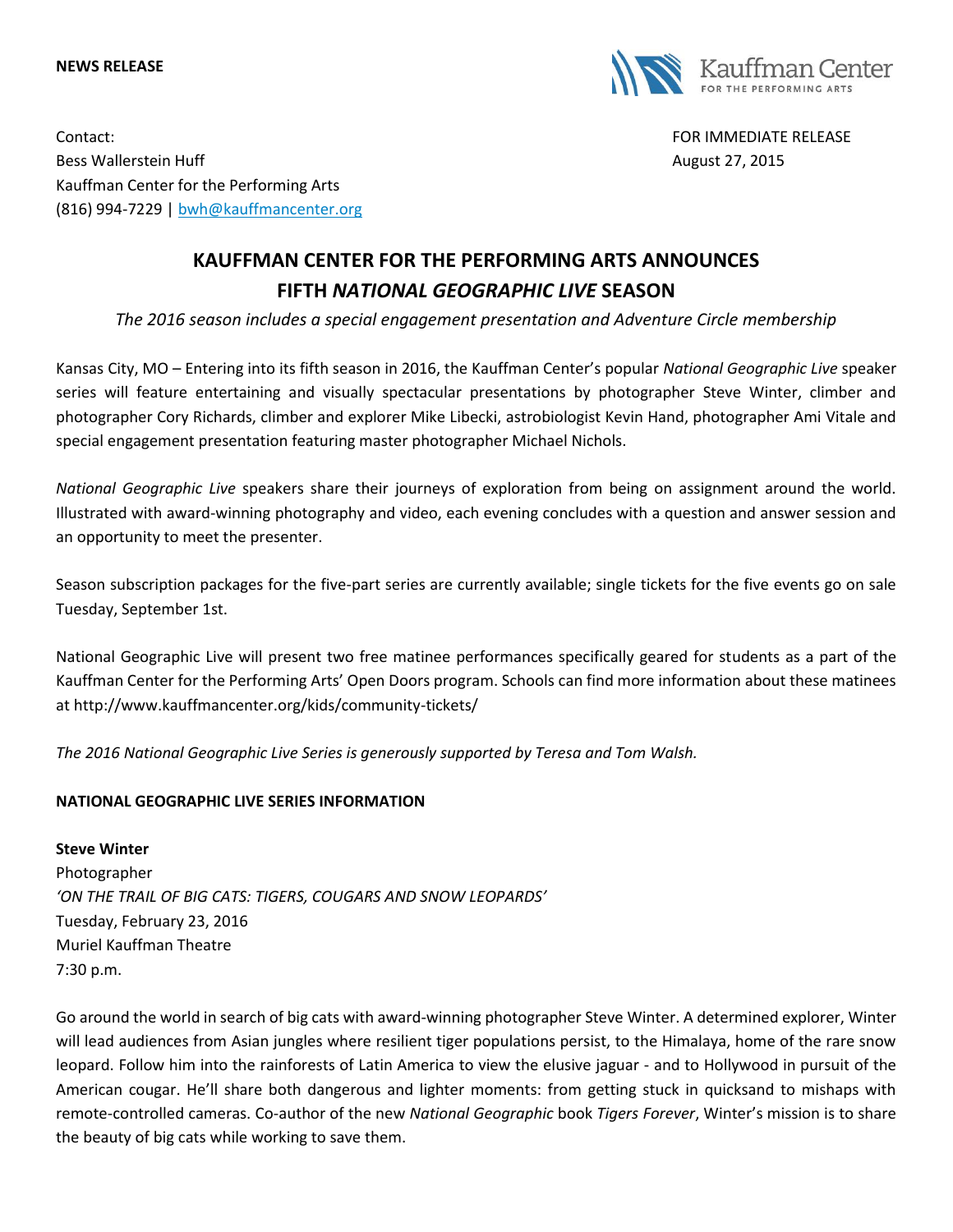#### **NEWS RELEASE**



Contact: FOR IMMEDIATE RELEASE Bess Wallerstein Huff **August 27, 2015 August 27, 2015** Kauffman Center for the Performing Arts (816) 994-7229 | [bwh@kauffmancenter.org](mailto:bwh@kauffmancenter.org)

# **KAUFFMAN CENTER FOR THE PERFORMING ARTS ANNOUNCES FIFTH** *NATIONAL GEOGRAPHIC LIVE* **SEASON**

*The 2016 season includes a special engagement presentation and Adventure Circle membership*

Kansas City, MO – Entering into its fifth season in 2016, the Kauffman Center's popular *National Geographic Live* speaker series will feature entertaining and visually spectacular presentations by photographer Steve Winter, climber and photographer Cory Richards, climber and explorer Mike Libecki, astrobiologist Kevin Hand, photographer Ami Vitale and special engagement presentation featuring master photographer Michael Nichols.

*National Geographic Live* speakers share their journeys of exploration from being on assignment around the world. Illustrated with award-winning photography and video, each evening concludes with a question and answer session and an opportunity to meet the presenter.

Season subscription packages for the five-part series are currently available; single tickets for the five events go on sale Tuesday, September 1st.

National Geographic Live will present two free matinee performances specifically geared for students as a part of the Kauffman Center for the Performing Arts' Open Doors program. Schools can find more information about these matinees at http://www.kauffmancenter.org/kids/community-tickets/

*The 2016 National Geographic Live Series is generously supported by Teresa and Tom Walsh.*

# **NATIONAL GEOGRAPHIC LIVE SERIES INFORMATION**

**Steve Winter** Photographer *'ON THE TRAIL OF BIG CATS: TIGERS, COUGARS AND SNOW LEOPARDS'* Tuesday, February 23, 2016 Muriel Kauffman Theatre 7:30 p.m.

Go around the world in search of big cats with award-winning photographer Steve Winter. A determined explorer, Winter will lead audiences from Asian jungles where resilient tiger populations persist, to the Himalaya, home of the rare snow leopard. Follow him into the rainforests of Latin America to view the elusive jaguar - and to Hollywood in pursuit of the American cougar. He'll share both dangerous and lighter moments: from getting stuck in quicksand to mishaps with remote-controlled cameras. Co-author of the new *National Geographic* book *Tigers Forever*, Winter's mission is to share the beauty of big cats while working to save them.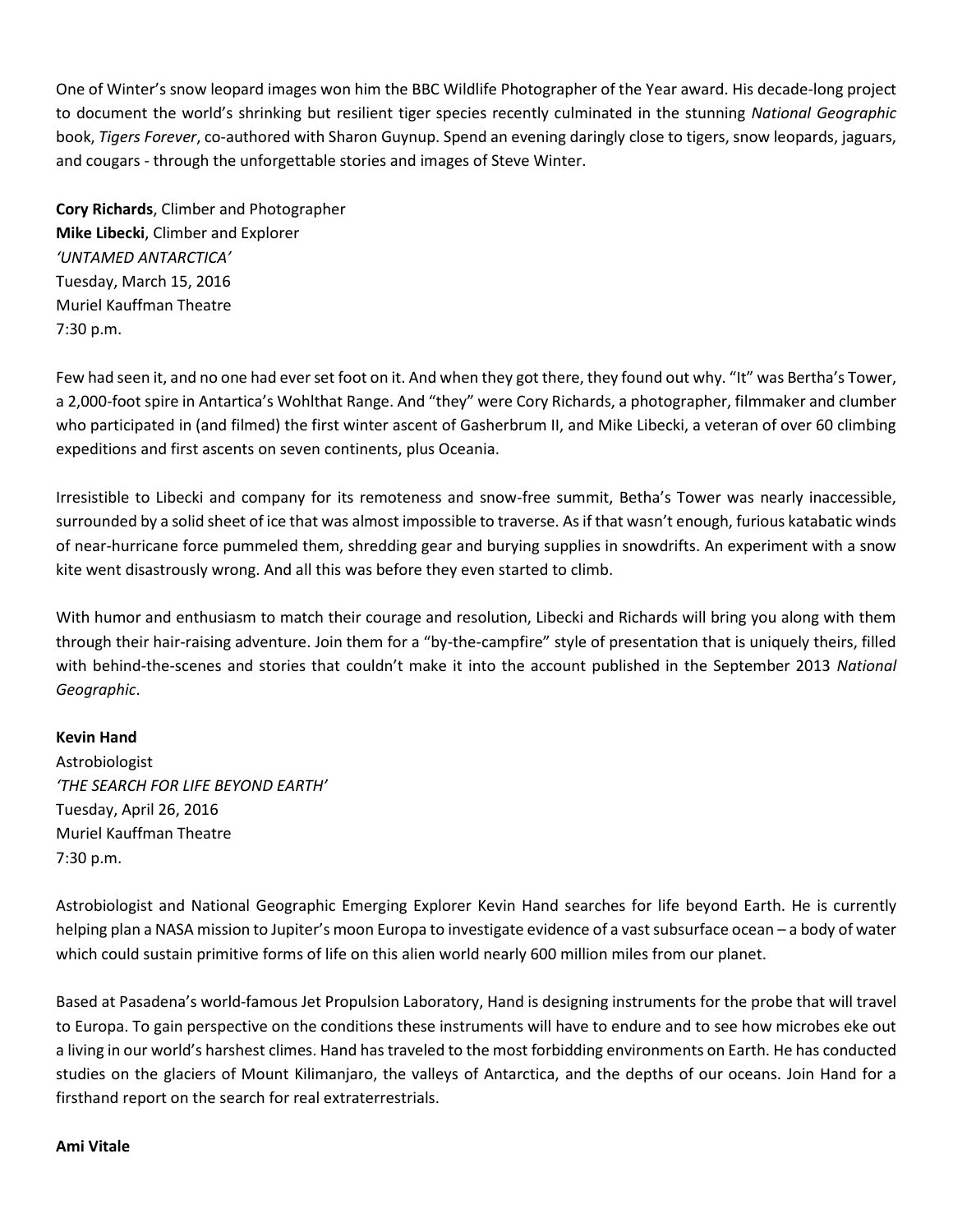One of Winter's snow leopard images won him the BBC Wildlife Photographer of the Year award. His decade-long project to document the world's shrinking but resilient tiger species recently culminated in the stunning *National Geographic* book, *Tigers Forever*, co-authored with Sharon Guynup. Spend an evening daringly close to tigers, snow leopards, jaguars, and cougars - through the unforgettable stories and images of Steve Winter.

**Cory Richards**, Climber and Photographer **Mike Libecki**, Climber and Explorer *'UNTAMED ANTARCTICA'* Tuesday, March 15, 2016 Muriel Kauffman Theatre 7:30 p.m.

Few had seen it, and no one had ever set foot on it. And when they got there, they found out why. "It" was Bertha's Tower, a 2,000-foot spire in Antartica's Wohlthat Range. And "they" were Cory Richards, a photographer, filmmaker and clumber who participated in (and filmed) the first winter ascent of Gasherbrum II, and Mike Libecki, a veteran of over 60 climbing expeditions and first ascents on seven continents, plus Oceania.

Irresistible to Libecki and company for its remoteness and snow-free summit, Betha's Tower was nearly inaccessible, surrounded by a solid sheet of ice that was almost impossible to traverse. As if that wasn't enough, furious katabatic winds of near-hurricane force pummeled them, shredding gear and burying supplies in snowdrifts. An experiment with a snow kite went disastrously wrong. And all this was before they even started to climb.

With humor and enthusiasm to match their courage and resolution, Libecki and Richards will bring you along with them through their hair-raising adventure. Join them for a "by-the-campfire" style of presentation that is uniquely theirs, filled with behind-the-scenes and stories that couldn't make it into the account published in the September 2013 *National Geographic*.

# **Kevin Hand**

Astrobiologist *'THE SEARCH FOR LIFE BEYOND EARTH'* Tuesday, April 26, 2016 Muriel Kauffman Theatre 7:30 p.m.

Astrobiologist and National Geographic Emerging Explorer Kevin Hand searches for life beyond Earth. He is currently helping plan a NASA mission to Jupiter's moon Europa to investigate evidence of a vast subsurface ocean – a body of water which could sustain primitive forms of life on this alien world nearly 600 million miles from our planet.

Based at Pasadena's world-famous Jet Propulsion Laboratory, Hand is designing instruments for the probe that will travel to Europa. To gain perspective on the conditions these instruments will have to endure and to see how microbes eke out a living in our world's harshest climes. Hand has traveled to the most forbidding environments on Earth. He has conducted studies on the glaciers of Mount Kilimanjaro, the valleys of Antarctica, and the depths of our oceans. Join Hand for a firsthand report on the search for real extraterrestrials.

#### **Ami Vitale**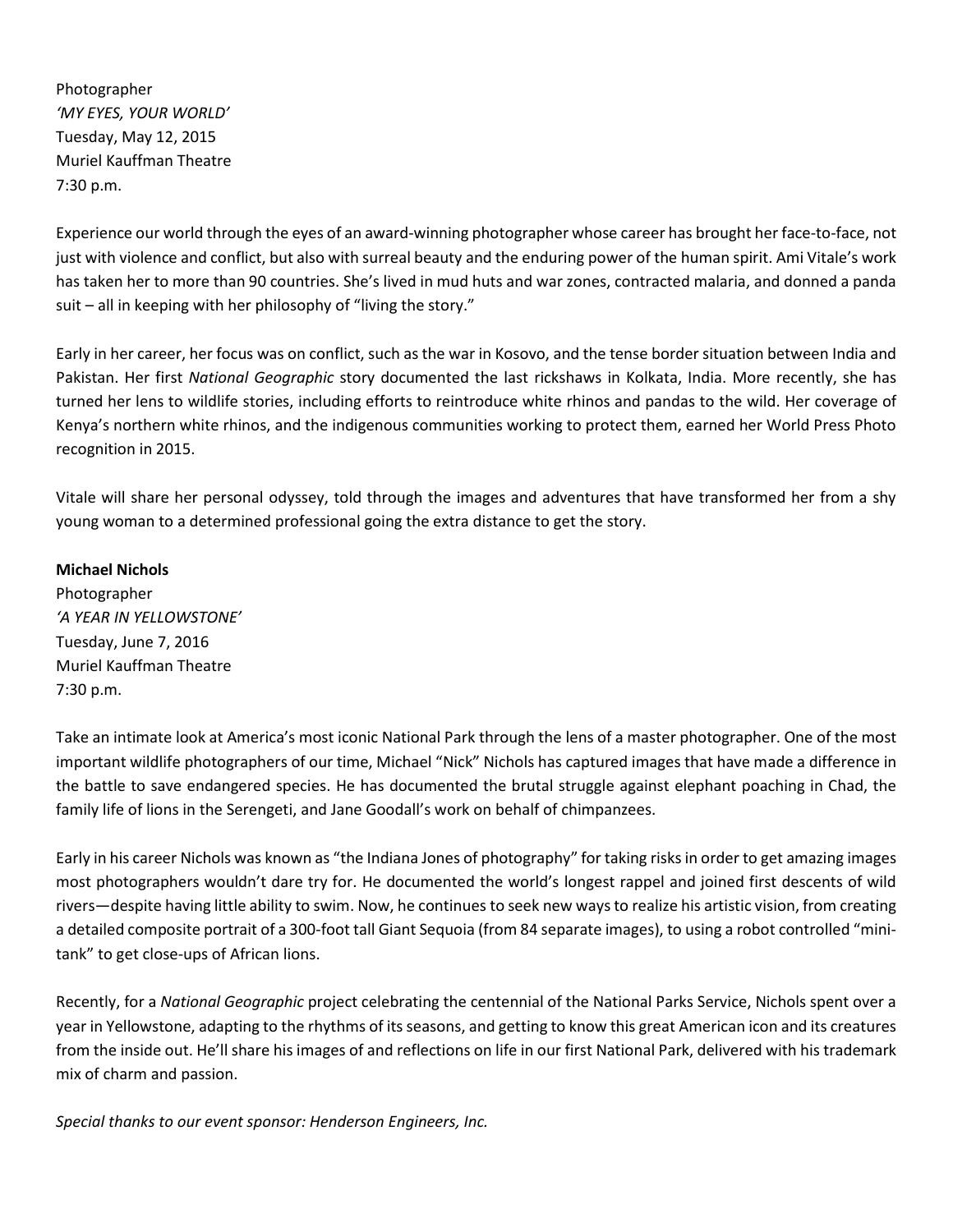Photographer *'MY EYES, YOUR WORLD'* Tuesday, May 12, 2015 Muriel Kauffman Theatre 7:30 p.m.

Experience our world through the eyes of an award-winning photographer whose career has brought her face-to-face, not just with violence and conflict, but also with surreal beauty and the enduring power of the human spirit. Ami Vitale's work has taken her to more than 90 countries. She's lived in mud huts and war zones, contracted malaria, and donned a panda suit – all in keeping with her philosophy of "living the story."

Early in her career, her focus was on conflict, such as the war in Kosovo, and the tense border situation between India and Pakistan. Her first *National Geographic* story documented the last rickshaws in Kolkata, India. More recently, she has turned her lens to wildlife stories, including efforts to reintroduce white rhinos and pandas to the wild. Her coverage of Kenya's northern white rhinos, and the indigenous communities working to protect them, earned her World Press Photo recognition in 2015.

Vitale will share her personal odyssey, told through the images and adventures that have transformed her from a shy young woman to a determined professional going the extra distance to get the story.

# **Michael Nichols**

Photographer *'A YEAR IN YELLOWSTONE'* Tuesday, June 7, 2016 Muriel Kauffman Theatre 7:30 p.m.

Take an intimate look at America's most iconic National Park through the lens of a master photographer. One of the most important wildlife photographers of our time, Michael "Nick" Nichols has captured images that have made a difference in the battle to save endangered species. He has documented the brutal struggle against elephant poaching in Chad, the family life of lions in the Serengeti, and Jane Goodall's work on behalf of chimpanzees.

Early in his career Nichols was known as "the Indiana Jones of photography" for taking risks in order to get amazing images most photographers wouldn't dare try for. He documented the world's longest rappel and joined first descents of wild rivers—despite having little ability to swim. Now, he continues to seek new ways to realize his artistic vision, from creating a detailed composite portrait of a 300-foot tall Giant Sequoia (from 84 separate images), to using a robot controlled "minitank" to get close-ups of African lions.

Recently, for a *National Geographic* project celebrating the centennial of the National Parks Service, Nichols spent over a year in Yellowstone, adapting to the rhythms of its seasons, and getting to know this great American icon and its creatures from the inside out. He'll share his images of and reflections on life in our first National Park, delivered with his trademark mix of charm and passion.

*Special thanks to our event sponsor: Henderson Engineers, Inc.*